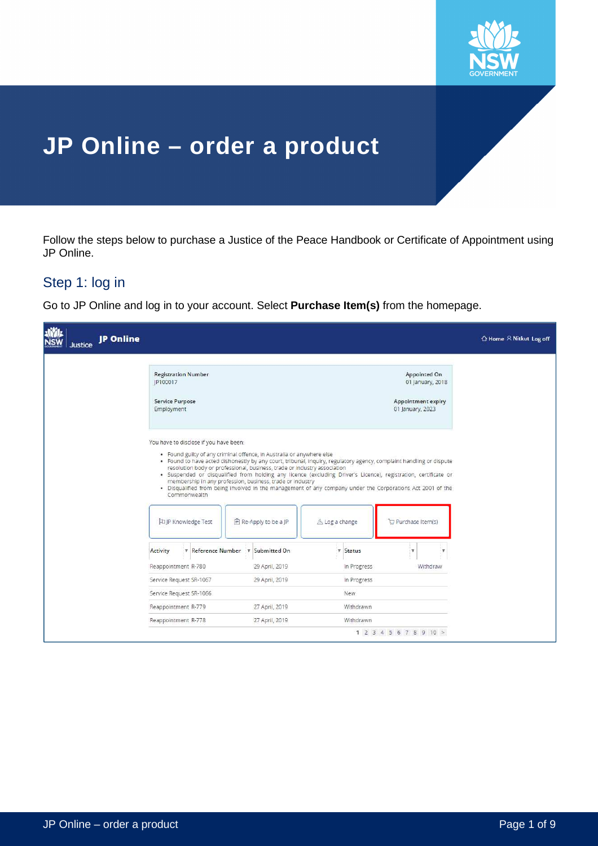

# **JP Online – order a product**

Follow the steps below to purchase a Justice of the Peace Handbook or Certificate of Appointment using JP Online.

## Step 1: log in

Go to JP Online and log in to your account. Select **Purchase Item(s)** from the homepage.

| <b>JP</b> Online<br><b>Justice</b> |                                                                                                                                 |                                                                                                                                       |                                                                                                                                                                                                                                                                                                                                                      |                                                                            | △ Home R Nitkut Log off |
|------------------------------------|---------------------------------------------------------------------------------------------------------------------------------|---------------------------------------------------------------------------------------------------------------------------------------|------------------------------------------------------------------------------------------------------------------------------------------------------------------------------------------------------------------------------------------------------------------------------------------------------------------------------------------------------|----------------------------------------------------------------------------|-------------------------|
|                                    | <b>Registration Number</b><br>JP100017<br>Service Purpose<br>Employment                                                         |                                                                                                                                       |                                                                                                                                                                                                                                                                                                                                                      | Appointed On<br>01 January, 2018<br>Appointment expiry<br>01 January, 2023 |                         |
|                                    | You have to disclose if you have been:<br>. Found guilty of any criminal offence, in Australia or anywhere else<br>Commonwealth | resolution body or professional, business, trade or industry association<br>membership in any profession, business, trade or industry | . Found to have acted dishonestly by any court, tribunal, inquiry, regulatory agency, complaint handling or dispute<br>· Suspended or disqualified from holding any licence (excluding Driver's Licence), registration, certificate or<br>. Disqualified from being involved in the management of any company under the Corporations Act 2001 of the |                                                                            |                         |
|                                    | The Knowledge Test                                                                                                              | <b>■ Re-Apply to be a JP</b>                                                                                                          | $\triangle$ Log a change                                                                                                                                                                                                                                                                                                                             | Purchase Item(s)                                                           |                         |
|                                    | Activity<br>Reappointment R-780                                                                                                 | T Reference Number T Submitted On<br>29 April, 2019                                                                                   | $Y$ Status<br>In Progress                                                                                                                                                                                                                                                                                                                            | v<br>$\mathbf r$<br>Withdraw                                               |                         |
|                                    | Service Request SR-1067                                                                                                         | 29 April, 2019                                                                                                                        | In Progress                                                                                                                                                                                                                                                                                                                                          |                                                                            |                         |
|                                    | Service Request SR-1066                                                                                                         |                                                                                                                                       | <b>New</b>                                                                                                                                                                                                                                                                                                                                           |                                                                            |                         |
|                                    | Reappointment R-779                                                                                                             | 27 April, 2019                                                                                                                        | Withdrawn                                                                                                                                                                                                                                                                                                                                            |                                                                            |                         |
|                                    | Reappointment R-778                                                                                                             | 27 April, 2019                                                                                                                        | Withdrawn                                                                                                                                                                                                                                                                                                                                            |                                                                            |                         |
|                                    |                                                                                                                                 |                                                                                                                                       |                                                                                                                                                                                                                                                                                                                                                      | 1 2 3 4 5 6 7 8 9 10 >                                                     |                         |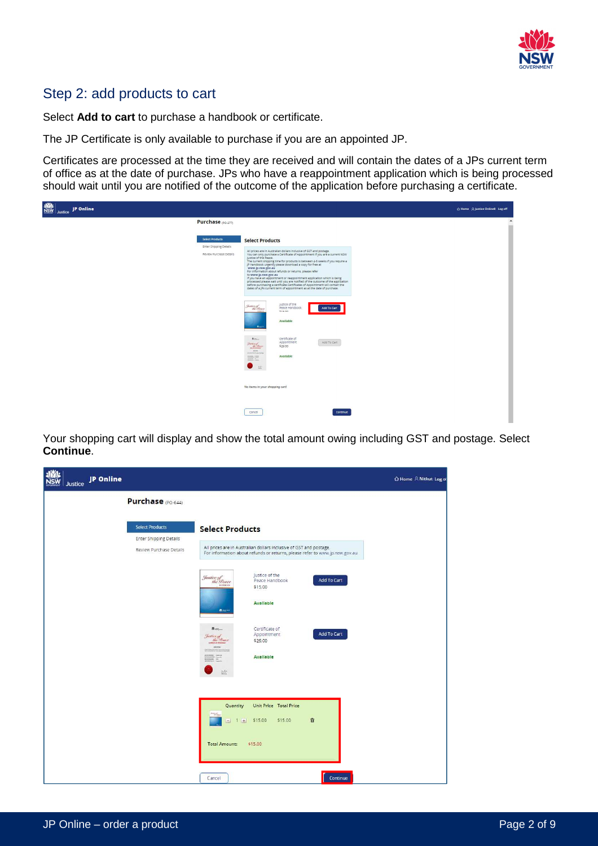

#### Step 2: add products to cart

Select **Add to cart** to purchase a handbook or certificate.

The JP Certificate is only available to purchase if you are an appointed JP.

Certificates are processed at the time they are received and will contain the dates of a JPs current term of office as at the date of purchase. JPs who have a reappointment application which is being processed should wait until you are notified of the outcome of the application before purchasing a certificate.

| ▓<br>JP Online<br>Justice |                                                                                                                                                                                                                                                                                                                                                                                                                                                                                                                                                                                                                                                                                                                                                                                                                                                                                                                                                                                                                                                                                                                                                                                                                                                                                  | △ Home A Justice Online8 Log off |
|---------------------------|----------------------------------------------------------------------------------------------------------------------------------------------------------------------------------------------------------------------------------------------------------------------------------------------------------------------------------------------------------------------------------------------------------------------------------------------------------------------------------------------------------------------------------------------------------------------------------------------------------------------------------------------------------------------------------------------------------------------------------------------------------------------------------------------------------------------------------------------------------------------------------------------------------------------------------------------------------------------------------------------------------------------------------------------------------------------------------------------------------------------------------------------------------------------------------------------------------------------------------------------------------------------------------|----------------------------------|
|                           | Purchase (PO-277)                                                                                                                                                                                                                                                                                                                                                                                                                                                                                                                                                                                                                                                                                                                                                                                                                                                                                                                                                                                                                                                                                                                                                                                                                                                                | $\blacktriangle$<br>m            |
|                           | Select Products<br><b>Select Products</b><br>Enter Shipping Details<br>All prices are in Australian dollars inclusive of GST and postage.<br>Review Purchase Details<br>You can only purchase a Certificate of Appointment if you are a current NSW<br>justice of the Peace.<br>The current shipping time for products is between 4-6 weeks if you require a<br>jP handbook urgently please download a copy for free at<br>www.jp.nsw.gov.au<br>For information about refunds or returns, please refer<br>to www.jp.nsw.gov.au<br>If you nave an appointment or reappointment application which is being<br>processed please wait until you are notified of the outcome of the application<br>before purchasing a certificate Certificates of Appointment will contain the<br>dates of a JPs current term of appointment as at the date of purchase.<br>justice of the<br>Justice of<br>the Leave<br>Peace Handbook<br>Add To Cart<br>\$15.00<br><b><i>INSINER</i></b><br>Available<br>Box <sup>4</sup><br>Certificate of<br>$\bullet$<br>Appointment<br>Add To Cart<br>$\frac{f_{\text{surface}}}{f_{\text{free}}/f_{\text{force}}}$<br>\$29.00<br>10000<br><b>INSTALANT</b><br>Available<br>$\frac{1}{\sqrt{2\pi}}\sum_{n=0}^{\infty}\frac{1}{n}$<br>$\frac{1+\beta}{1+\beta}$ |                                  |
|                           | No items in your shopping cart!                                                                                                                                                                                                                                                                                                                                                                                                                                                                                                                                                                                                                                                                                                                                                                                                                                                                                                                                                                                                                                                                                                                                                                                                                                                  |                                  |
|                           | Cancel<br>Continue                                                                                                                                                                                                                                                                                                                                                                                                                                                                                                                                                                                                                                                                                                                                                                                                                                                                                                                                                                                                                                                                                                                                                                                                                                                               |                                  |

Your shopping cart will display and show the total amount owing including GST and postage. Select **Continue**.

| おり<br><b>JP</b> Online<br>Justice                                                  |                                                                                                                                                                                                                                                                                                                                                                                                                                                                   | △ Home R Nitkut Log of |
|------------------------------------------------------------------------------------|-------------------------------------------------------------------------------------------------------------------------------------------------------------------------------------------------------------------------------------------------------------------------------------------------------------------------------------------------------------------------------------------------------------------------------------------------------------------|------------------------|
| <b>Purchase</b> (PO-644)                                                           |                                                                                                                                                                                                                                                                                                                                                                                                                                                                   |                        |
| <b>Select Products</b><br><b>Enter Shipping Details</b><br>Review Purchase Details | <b>Select Products</b><br>All prices are in Australian dollars inclusive of GST and postage.<br>For information about refunds or returns, please refer to www.jp.nsw.gov.au<br>Justice of the<br>Justice of<br>the Leace<br><b>Add To Cart</b><br>Peace Handbook<br>\$15.00<br><b>Available</b><br><b>Brant</b><br>Certificate of<br><b>常三一</b><br>Add To Cart<br>Appointment<br>Justice of<br>the Prace<br>\$29.00<br>Available<br>$\overline{\phantom{a}}$<br>些 |                        |
|                                                                                    | Unit Price Total Price<br>Quantity<br>音<br>\$15.00<br>\$15.00<br>$\sim$<br>1 大<br>\$15.00<br><b>Total Amount:</b><br>Continue<br>Cancel                                                                                                                                                                                                                                                                                                                           |                        |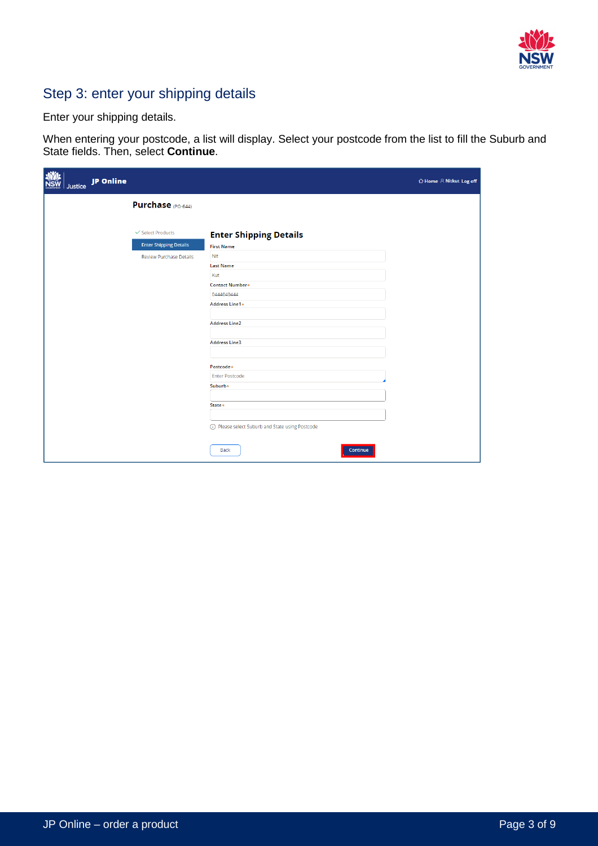

## Step 3: enter your shipping details

Enter your shipping details.

When entering your postcode, a list will display. Select your postcode from the list to fill the Suburb and State fields. Then, select **Continue**.

| <b>NO</b> | Justice JP Online |                                                    |                                                    | $\Delta$ Home $\beta$ Nitkut Log off |
|-----------|-------------------|----------------------------------------------------|----------------------------------------------------|--------------------------------------|
|           |                   | <b>Purchase</b> (PO-644)                           |                                                    |                                      |
|           |                   | ← Select Products<br><b>Enter Shipping Details</b> | <b>Enter Shipping Details</b><br><b>First Name</b> |                                      |
|           |                   | <b>Review Purchase Details</b>                     | Nit<br><b>Last Name</b>                            |                                      |
|           |                   |                                                    | Kut<br>Contact Number*<br>0444040444               |                                      |
|           |                   |                                                    | Address Line1*                                     |                                      |
|           |                   |                                                    | <b>Address Line2</b><br><b>Address Line3</b>       |                                      |
|           |                   |                                                    | Postcode*                                          |                                      |
|           |                   |                                                    | <b>Enter Postcode</b><br>Suburb*                   |                                      |
|           |                   |                                                    | State*                                             |                                      |
|           |                   |                                                    | (i) Please select Suburb and State using Postcode  |                                      |
|           |                   |                                                    | Back<br>Continue                                   |                                      |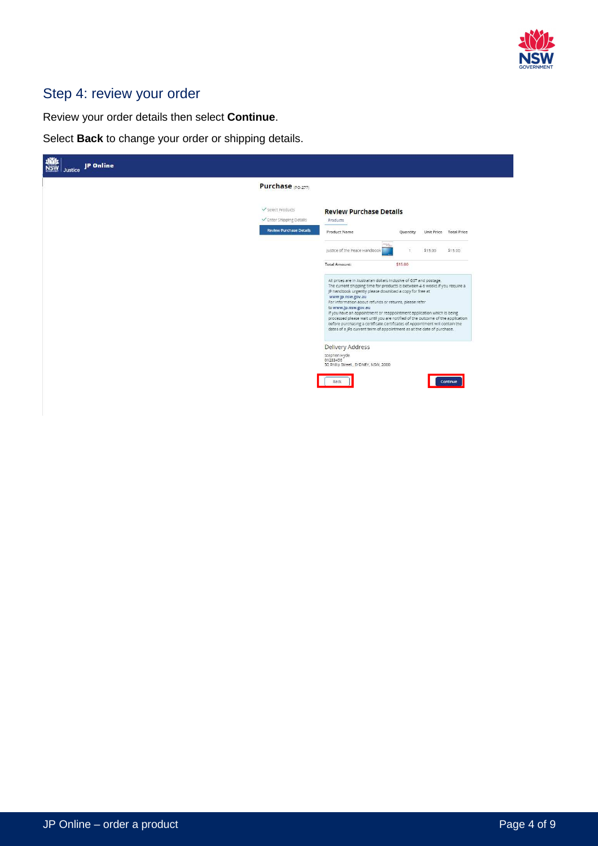

## Step 4: review your order

Review your order details then select **Continue**.

Select **Back** to change your order or shipping details.

| Purchase (PO-277)                                                                                                                                                                                                                                                                                                                                                                                                                                                                                                                                                                                                                          |                        |
|--------------------------------------------------------------------------------------------------------------------------------------------------------------------------------------------------------------------------------------------------------------------------------------------------------------------------------------------------------------------------------------------------------------------------------------------------------------------------------------------------------------------------------------------------------------------------------------------------------------------------------------------|------------------------|
| $\checkmark$ Select Products<br><b>Review Purchase Details</b><br>V Enter Shipping Details<br>Products                                                                                                                                                                                                                                                                                                                                                                                                                                                                                                                                     |                        |
| <b>Review Purchase Details</b><br>Product Name<br>Quantity                                                                                                                                                                                                                                                                                                                                                                                                                                                                                                                                                                                 | Unit Price Total Price |
| justice of the Peace Handbook<br>\$15.00<br>$\tau$                                                                                                                                                                                                                                                                                                                                                                                                                                                                                                                                                                                         | \$15.00                |
| Total Amount:<br>\$15.00                                                                                                                                                                                                                                                                                                                                                                                                                                                                                                                                                                                                                   |                        |
| All prices are in Australian dollars inclusive of GST and postage.<br>The current shipping time for products is between 4-6 weeks.if you require a<br>JP handbook urgently please download a copy for free at<br>www.jp.nsw.gov.au<br>For information about refunds or returns, please refer<br>to www.jp.nsw.gov.au<br>if you have an appointment or reappointment application which is being<br>processed please walt until you are notified of the outcome of the application<br>before purchasing a certificate.Certificates of Appointment will contain the<br>dates of a JPs current term of appointment as at the date of purchase. |                        |
| Delivery Address                                                                                                                                                                                                                                                                                                                                                                                                                                                                                                                                                                                                                           |                        |
| Stephen Hyde<br>01233456                                                                                                                                                                                                                                                                                                                                                                                                                                                                                                                                                                                                                   |                        |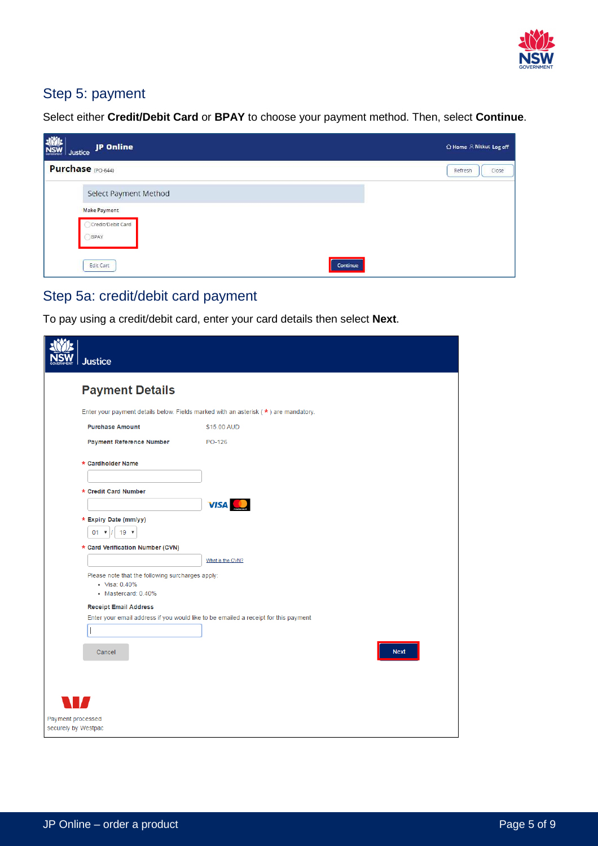

## Step 5: payment

Select either **Credit/Debit Card** or **BPAY** to choose your payment method. Then, select **Continue**.

| <b>WWW</b><br>W Justice JP Online                | △ Home R Nitkut Log off |
|--------------------------------------------------|-------------------------|
| Purchase (PO-644)                                | Close<br>Refresh        |
| Select Payment Method                            |                         |
| <b>Make Payment</b><br>Credit/Debit Card<br>BPAY |                         |
| Edit Cart<br>Continue                            |                         |

# Step 5a: credit/debit card payment

To pay using a credit/debit card, enter your card details then select **Next**.

| Justice                                                                                  |                                                                                     |
|------------------------------------------------------------------------------------------|-------------------------------------------------------------------------------------|
| <b>Payment Details</b>                                                                   |                                                                                     |
|                                                                                          | Enter your payment details below. Fields marked with an asterisk (*) are mandatory. |
| <b>Purchase Amount</b>                                                                   | \$15.00 AUD                                                                         |
| <b>Payment Reference Number</b>                                                          | PO-126                                                                              |
| * Cardholder Name                                                                        |                                                                                     |
| * Credit Card Number                                                                     | <b>VISA</b>                                                                         |
| * Expiry Date (mm/yy)                                                                    |                                                                                     |
| $01$ $\sqrt{ }$<br>$19$ $\sqrt{ }$                                                       |                                                                                     |
| * Card Verification Number (CVN)                                                         |                                                                                     |
|                                                                                          | What is the CVN?                                                                    |
| Please note that the following surcharges apply:<br>• Visa: 0.40%<br>• Mastercard: 0.40% |                                                                                     |
| <b>Receipt Email Address</b>                                                             |                                                                                     |
|                                                                                          | Enter your email address if you would like to be emailed a receipt for this payment |
|                                                                                          |                                                                                     |
| Cancel                                                                                   | <b>Next</b>                                                                         |
|                                                                                          |                                                                                     |
|                                                                                          |                                                                                     |
|                                                                                          |                                                                                     |
| Payment processed<br>securely by Westpac                                                 |                                                                                     |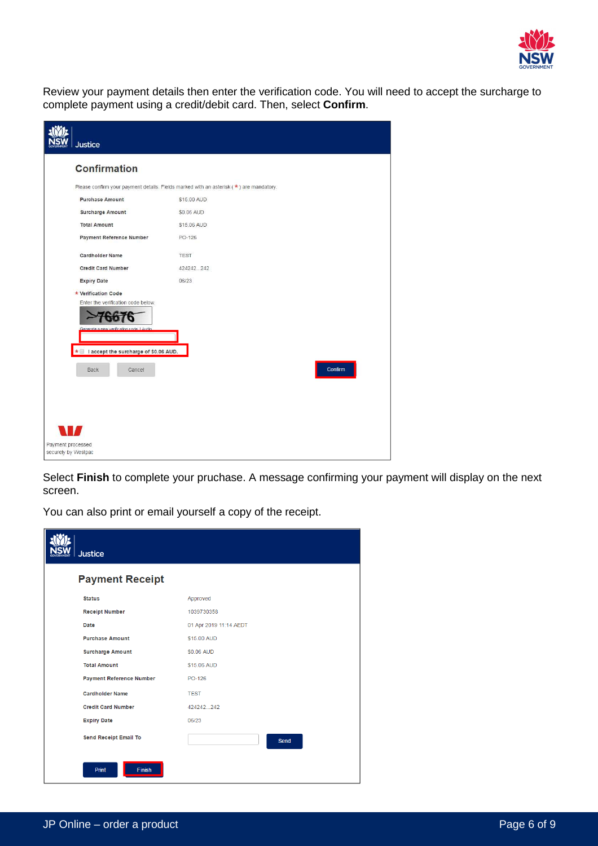

Review your payment details then enter the verification code. You will need to accept the surcharge to complete payment using a credit/debit card. Then, select **Confirm**.

| <b>Justice</b>                                                                  |                                                                                           |
|---------------------------------------------------------------------------------|-------------------------------------------------------------------------------------------|
| <b>Confirmation</b>                                                             |                                                                                           |
|                                                                                 | Please confirm your payment details. Fields marked with an asterisk $(* )$ are mandatory. |
| <b>Purchase Amount</b>                                                          | \$15.00 AUD                                                                               |
| <b>Surcharge Amount</b>                                                         | \$0.06 AUD                                                                                |
| <b>Total Amount</b>                                                             | \$15.06 AUD                                                                               |
| <b>Payment Reference Number</b>                                                 | PO-126                                                                                    |
| <b>Cardholder Name</b>                                                          | <b>TEST</b>                                                                               |
| <b>Credit Card Number</b>                                                       | 424242.242                                                                                |
| <b>Expiry Date</b>                                                              | 06/23                                                                                     |
| * Verification Code                                                             |                                                                                           |
| Enter the verification code below.<br>Generate a new verification code, I Audio |                                                                                           |
| * I accept the surcharge of \$0.06 AUD.                                         |                                                                                           |
| Back<br>Cancel                                                                  | Confirm                                                                                   |
|                                                                                 |                                                                                           |
|                                                                                 |                                                                                           |
|                                                                                 |                                                                                           |
| Payment processed<br>securely by Westpac                                        |                                                                                           |

Select **Finish** to complete your pruchase. A message confirming your payment will display on the next screen.

You can also print or email yourself a copy of the receipt.

| <b>Justice</b>                  |                        |
|---------------------------------|------------------------|
| <b>Payment Receipt</b>          |                        |
| <b>Status</b>                   | Approved               |
| <b>Receipt Number</b>           | 1039730358             |
| Date                            | 01 Apr 2019 11:14 AEDT |
| <b>Purchase Amount</b>          | \$15.00 AUD            |
| <b>Surcharge Amount</b>         | \$0.06 AUD             |
| <b>Total Amount</b>             | \$15.06 AUD            |
| <b>Payment Reference Number</b> | PO-126                 |
| <b>Cardholder Name</b>          | <b>TEST</b>            |
| <b>Credit Card Number</b>       | 424242242              |
| <b>Expiry Date</b>              | 06/23                  |
| <b>Send Receipt Email To</b>    | Send                   |
| Print<br><b>Finish</b>          |                        |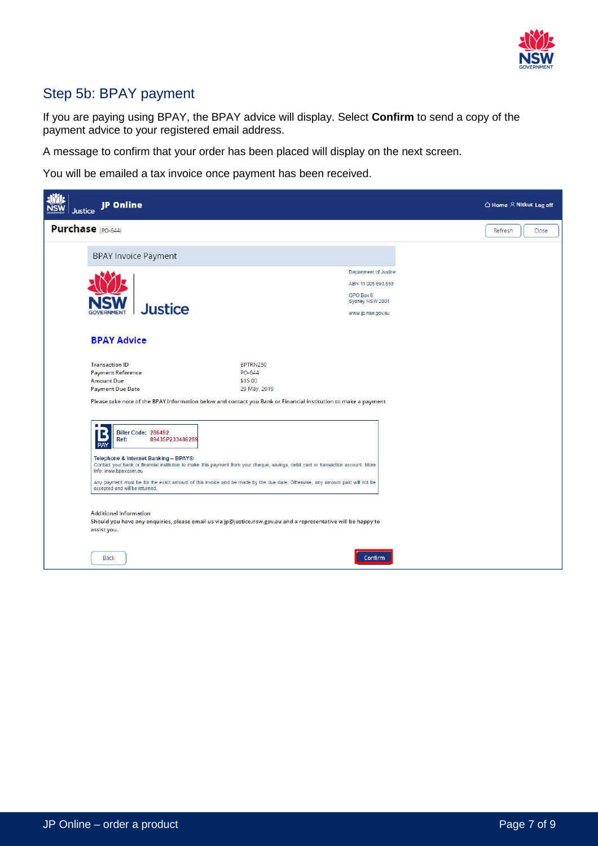

## Step 5b: BPAY payment

If you are paying using BPAY, the BPAY advice will display. Select **Confirm** to send a copy of the payment advice to your registered email address.

A message to confirm that your order has been placed will display on the next screen.

You will be emailed a tax invoice once payment has been received.

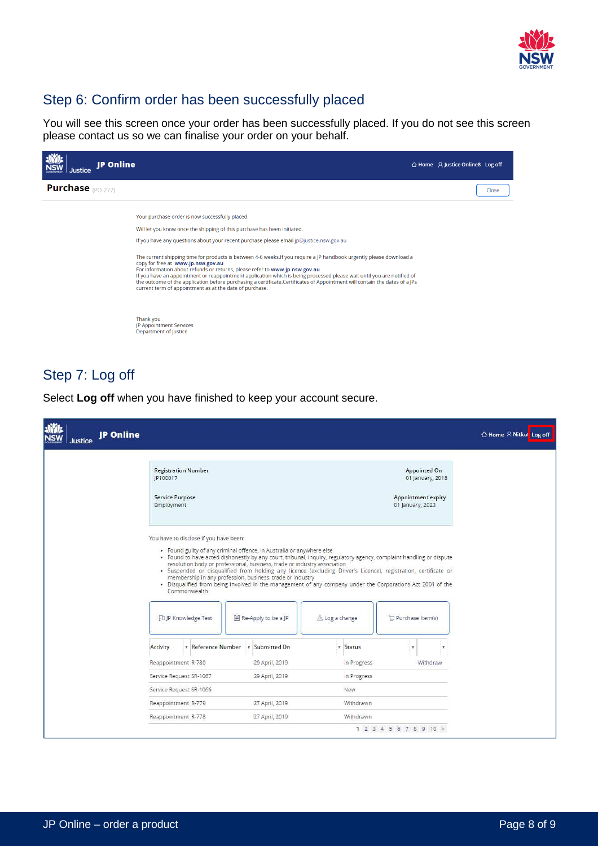

## Step 6: Confirm order has been successfully placed

You will see this screen once your order has been successfully placed. If you do not see this screen please contact us so we can finalise your order on your behalf.

| IP Online<br><b>Justice</b> |                                                                                                                                                                                                                                                                                                                                                                                                                                                                                                                                                                                                                                                                                                                                                                                        | $\triangle$ Home $\triangle$ Justice Online 8 Log off |       |
|-----------------------------|----------------------------------------------------------------------------------------------------------------------------------------------------------------------------------------------------------------------------------------------------------------------------------------------------------------------------------------------------------------------------------------------------------------------------------------------------------------------------------------------------------------------------------------------------------------------------------------------------------------------------------------------------------------------------------------------------------------------------------------------------------------------------------------|-------------------------------------------------------|-------|
| <b>Purchase</b> (PO-277)    |                                                                                                                                                                                                                                                                                                                                                                                                                                                                                                                                                                                                                                                                                                                                                                                        |                                                       | Close |
|                             | Your purchase order is now successfully placed.<br>Will let you know once the shipping of this purchase has been initiated.<br>If you have any questions about your recent purchase please email jp@justice.nsw.gov.au<br>The current shipping time for products is between 4-6 weeks. If you require a JP handbook urgently please download a<br>copy for free at www.jp.nsw.gov.au<br>For information about refunds or returns, please refer to www.jp.nsw.gov.au<br>If you have an appointment or reappointment application which is being processed please wait until you are notified of<br>the outcome of the application before purchasing a certificate.Certificates of Appointment will contain the dates of a JPs<br>current term of appointment as at the date of purchase. |                                                       |       |
|                             | Thank you<br>JP Appointment Services<br>Department of Justice                                                                                                                                                                                                                                                                                                                                                                                                                                                                                                                                                                                                                                                                                                                          |                                                       |       |

#### Step 7: Log off

**NWL**<br>NSW **JP Online** △ Home A Nitkul Log off Justice **Registration Number** Appointed On 01 January, 2018 IP100017 Service Purpose Appointment expiry 01 January, 2023 Employment You have to disclose if you have been: · Found guilty of any criminal offence, in Australia or anywhere else - Found guilty of any criminal offerice, in Australia or anywhere else<br>
Found to have acted dishonestly by any court, tribunal, inquiry, regulatory agency, complaint handling or dispute<br>
resolution body or professional, bu Commonwealth **DJP Knowledge Test ■ Re-Apply to be a JP** △ Log a change Purchase Item(s) Activity T Reference Number T Submitted On  $\overline{r}$  Status þ.  $\mathbf{r}$ Reappointment R-780 29 April, 2019 In Progress Withdraw Service Request SR-1067 29 April, 2019 In Progress Service Request SR-1066 **New** 27 April, 2019 Withdrawn Reappointment R-779 Reappointment R-778 27 April, 2019 Withdrawn  $1\ 2\ 3\ 4\ 5\ 6\ 7\ 8\ 9\ 10 >$ 

Select **Log off** when you have finished to keep your account secure.